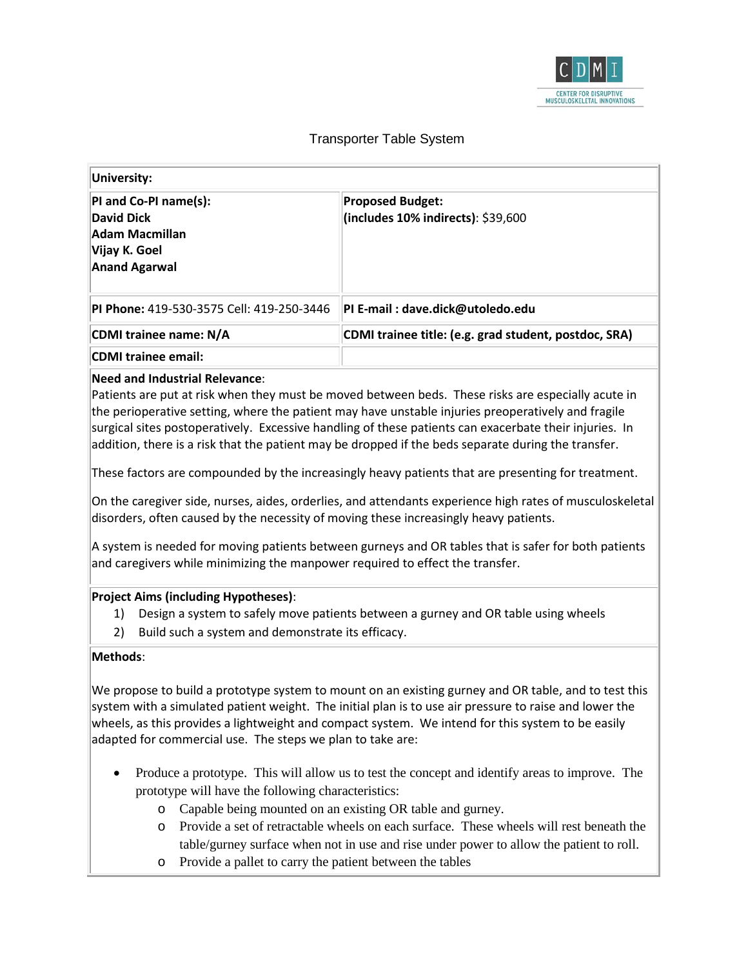

# Transporter Table System

| University:                                                                                             |                                                               |  |
|---------------------------------------------------------------------------------------------------------|---------------------------------------------------------------|--|
| PI and Co-PI name(s):<br>David Dick<br><b>Adam Macmillan</b><br> Vijay K. Goel <br><b>Anand Agarwal</b> | <b>Proposed Budget:</b><br>(includes 10% indirects): \$39,600 |  |
| <b>PI Phone: 419-530-3575 Cell: 419-250-3446</b>                                                        | PI E-mail : dave.dick@utoledo.edu                             |  |
| CDMI trainee name: N/A                                                                                  | CDMI trainee title: (e.g. grad student, postdoc, SRA)         |  |
| <b>CDMI trainee email:</b>                                                                              |                                                               |  |

### **Need and Industrial Relevance**:

Patients are put at risk when they must be moved between beds. These risks are especially acute in the perioperative setting, where the patient may have unstable injuries preoperatively and fragile surgical sites postoperatively. Excessive handling of these patients can exacerbate their injuries. In addition, there is a risk that the patient may be dropped if the beds separate during the transfer.

These factors are compounded by the increasingly heavy patients that are presenting for treatment.

On the caregiver side, nurses, aides, orderlies, and attendants experience high rates of musculoskeletal disorders, often caused by the necessity of moving these increasingly heavy patients.

A system is needed for moving patients between gurneys and OR tables that is safer for both patients and caregivers while minimizing the manpower required to effect the transfer.

#### **Project Aims (including Hypotheses)**:

- 1) Design a system to safely move patients between a gurney and OR table using wheels
- 2) Build such a system and demonstrate its efficacy.

#### **Methods**:

We propose to build a prototype system to mount on an existing gurney and OR table, and to test this system with a simulated patient weight. The initial plan is to use air pressure to raise and lower the wheels, as this provides a lightweight and compact system. We intend for this system to be easily adapted for commercial use. The steps we plan to take are:

- Produce a prototype. This will allow us to test the concept and identify areas to improve. The prototype will have the following characteristics:
	- o Capable being mounted on an existing OR table and gurney.
	- o Provide a set of retractable wheels on each surface. These wheels will rest beneath the table/gurney surface when not in use and rise under power to allow the patient to roll.
	- o Provide a pallet to carry the patient between the tables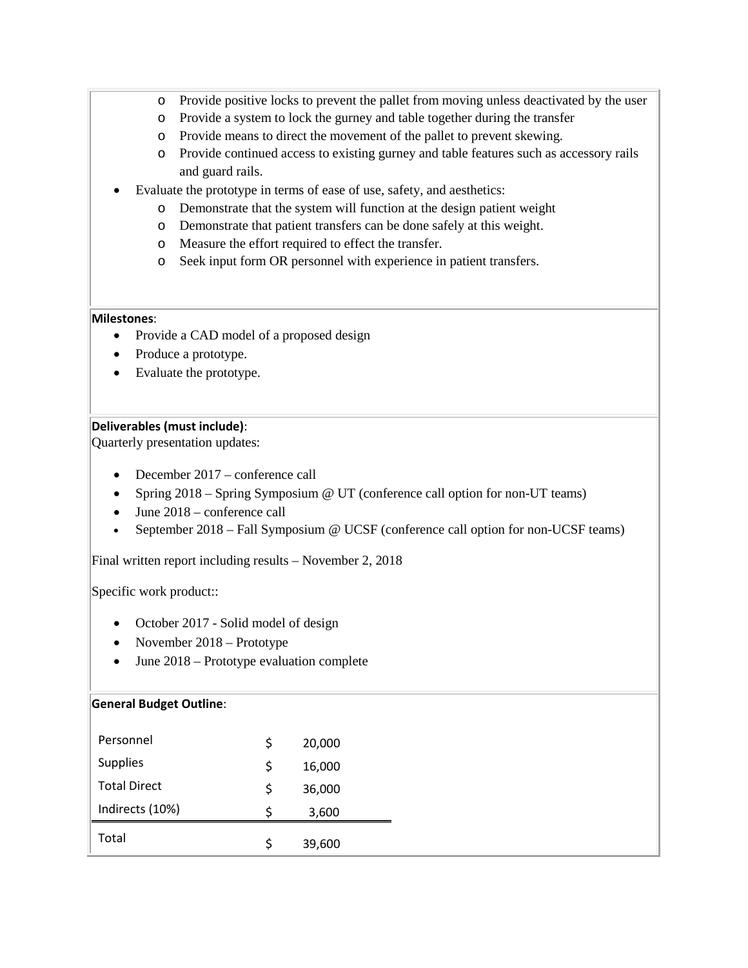- o Provide positive locks to prevent the pallet from moving unless deactivated by the user
- o Provide a system to lock the gurney and table together during the transfer
- o Provide means to direct the movement of the pallet to prevent skewing.
- o Provide continued access to existing gurney and table features such as accessory rails and guard rails.
- Evaluate the prototype in terms of ease of use, safety, and aesthetics:
	- o Demonstrate that the system will function at the design patient weight
	- o Demonstrate that patient transfers can be done safely at this weight.
	- o Measure the effort required to effect the transfer.
	- o Seek input form OR personnel with experience in patient transfers.

## **Milestones**:

- Provide a CAD model of a proposed design
- Produce a prototype.
- Evaluate the prototype.

## **Deliverables (must include)**:

Quarterly presentation updates:

- December 2017 conference call
- Spring 2018 Spring Symposium @ UT (conference call option for non-UT teams)
- June 2018 conference call
- September 2018 Fall Symposium @ UCSF (conference call option for non-UCSF teams)

Final written report including results – November 2, 2018

Specific work product::

- October 2017 Solid model of design
- November 2018 Prototype
- June 2018 Prototype evaluation complete

## **General Budget Outline**:

| Personnel           | \$ | 20,000 |
|---------------------|----|--------|
| <b>Supplies</b>     | \$ | 16,000 |
| <b>Total Direct</b> | Ś  | 36,000 |
| Indirects (10%)     | S  | 3,600  |
| Total               | S  | 39,600 |